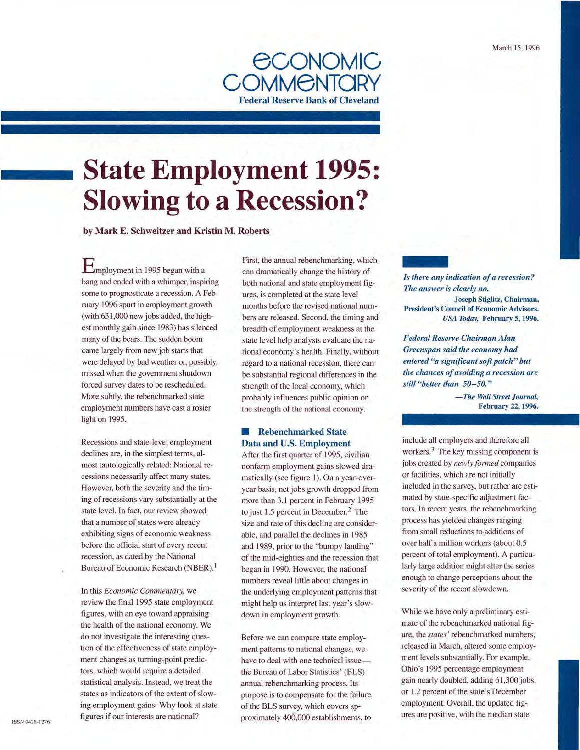

# **State Employment 1995: Slowing to a Recession?**

by Mark E. Schweitzer and Kristin M. Roberts

**E**mployment in 1995 began with a bang and ended with a whimper, inspiring some to prognosticate a recession. A February 1996 spurt in employment growth (with 631,000 new jobs added, the highest monthly gain since 1983) has silenced many of the bears. The sudden boom came largely from new job starts that were delayed by bad weather or, possibly, missed when the government shutdown forced survey dates to be rescheduled. More subtly, the rebenchmarked state employment numbers have cast a rosier light on 1995.

Recessions and state-level employment declines are, in the simplest terms, almost tautologically related: National recessions necessarily affect many states. However, both the severity and the timing of recessions vary substantially at the state level. In fact, our review showed that a number of states were already exhibiting signs of economic weakness before the official start of every recent recession, as dated by the National Bureau of Economic Research (NBER). <sup>1</sup>

In this *Economic Commentary,* we review the final 1995 state employment figures, with an eye toward appraising the health of the national economy. We do not investigate the interesting question of the effectiveness of state employment changes as turning-point predictors, which would require a detailed statistical analysis. Instead, we treat the states as indicators of the extent of slowing employment gains. Why look at state figures if our interests are national?

First, the annual rebenchmarking, which can dramatically change the history of both national and state employment figures, is completed at the state level months before the revised national numbers are released. Second, the timing and breadth of employment weakness at the state level help analysts evaluate the national economy's health. Finally, without regard to a national recession, there can be substantial regional differences in the strength of the local economy, which probably influences public opinion on the strength of the national economy.

# **E** Rebenchmarked State Data and U.S. Employment

After the first quarter of 1995, civilian nonfarm employment gains slowed dramatically (see figure 1). On a year-overyear basis, net jobs growth dropped from more than 3.1 percent in February 1995 to just  $1.5$  percent in December.<sup>2</sup> The size and rate of this decline are considerable, and parallel the declines in 1985 and 1989, prior to the "bumpy landing" of the mid-eighties and the recession that began in 1990. However, the national numbers reveal little about changes in the underlying employment patterns that might help us interpret last year's slowdown in employment growth.

Before we can compare state employment patterns to national changes, we have to deal with one technical issuethe Bureau of Labor Statistics' (BLS) annual rebenchmarking process. Its purpose is to compensate for the failure of the BLS survey, which covers approximately 400,000 establishments, to - *The answer is clearly no. ls there any indication of a recession?*  -Joseph Stiglitz, Chairman, President's Council of Economic Advisors. *USA Today,* February S, 1996.

*Federal Reserve Chairman Alan Greenspan said the economy had entered "a significant soft patch" but the chances of avoiding a recession are still "better than 50-50. "* 

> *-The Wall Street Journal,*  February 22, 1996.

include all employers and therefore all workers. $3$  The key missing component is jobs created by *newly formed* companies or facilities, which are not initially included in the survey, but rather are estimated by state-specific adjustment factors. In recent years, the rebenchmarking process has yielded changes ranging from small reductions to.additions of over half a million workers (about 0.5 percent of total employment). A particularly large addition might alter the series enough to change perceptions about the severity of the recent slowdown.

While we have only a preliminary estimate of the rebenchmarked national figure, the *states'* rebenchmarked numbers, released in March, altered some employment levels substantially. For example, Ohio's 1995 percentage employment gain nearly doubled, adding 61,300 jobs, or 1.2 percent of the state's December employment. Overall, the updated figures are positive, with the median state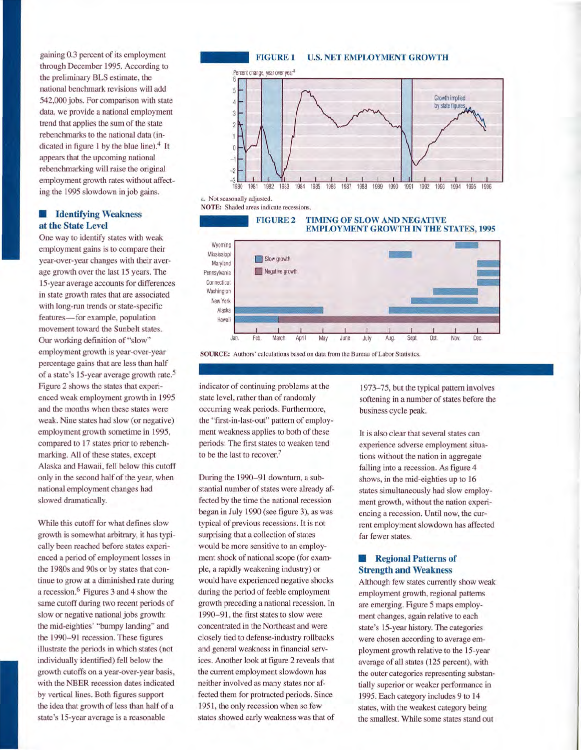gaining 0.3 percent of its employment through December 1995. According to the preliminary BLS estimate, the national benchmark revisions will add 542,000 jobs. For comparison with state data, we provide a national employment trend that applies the sum of the state rebenchrnarks to the national data (indicated in figure 1 by the blue line).<sup>4</sup> It appears that the upcoming national rebenchrnarking will raise the original employment growth rates without affecting the 1995 slowdown in job gains.

# $\blacksquare$  **Identifying Weakness at the State Level**

One way to identify states with weak employment gains is to compare their year-over-year changes with their average growth over the last 15 years. The LS-year average accounts for differences in state growth rates that are associated with long-run trends or state-specific features-for example, population movement toward the Sunbelt states. Our working definition of "slow" employment growth is year-over-year percentage gains that are less than half of a state's 15-year average growth rate.<sup>5</sup> Figure 2 shows the states that experienced weak employment growth in 1995 and the months when these states were weak. Nine states had slow (or negative) employment growth sometime in 1995, compared to 17 states prior to rebenchmarking. All of these states, except Alaska and Hawaii, fell below this cutoff only in the second half of the year, when national employment changes had slowed dramatically.

While this cutoff for what defines slow growth is somewhat arbitrary, it has typically been reached before states experienced a period of employment losses in the 1980s and 90s or by states that continue to grow at a diminished rate during a recession.6 Figures 3 and 4 show the same cutoff during two recent periods of slow or negative national jobs growth: the mid-eighties' "bumpy landing" and the 1990-91 recession. These figures illustrate the periods in which states (not individually identified) fell below the growth cutoffs on a year-over-year basis, with the NBER recession dates indicated by vertical lines. Both figures support the idea that growth of less than half of a state's 15-year average is a reasonable



a. Not seasonally adjusted.

NOTE: Shaded areas indicate recessions.





SOURCE: Authors' calculations based on data from the Bureau of Labor Statistics.

indicator of continuing problems at the state level, rather than of randomly occurring weak periods. Furthermore, the "first-in-last-out" pattern of employment weakness applies to both of these periods: The first states to weaken tend to be the last to recover.7

During the 1990-91 downturn, a substantial number of states were already affected by the time the national recession began in July 1990 (see figure 3), as was typical of previous recessions. It is not surprising that a collection of states would be more sensitive to an employment shock of national scope (for example, a rapidly weakening industry) or would have experienced negative shocks during the period of feeble employment growth preceding a national recession. In 1990-91, the first states to slow were concentrated in the Northeast and were closely tied to defense-industry rollbacks and general weakness in financial services. Another look at figure 2 reveals that the current employment slowdown has neither involved as many states nor affected them for protracted periods. Since 1951, the only recession when so few states showed early weakness was that of

1973-75, but the typical pattern involves softening in a number of states before the business cycle peak.

It is also clear that several states can experience adverse employment situations without the nation in aggregate falling into a recession. As figure 4 shows, in the mid-eighties up to 16 states simultaneously had slow employment growth, without the nation experiencing a recession. Until now, the current employment slowdown has affected far fewer states.

# **• Regional Patterns of Strength and Weakness**

Although few states currently show weak employment growth, regional patterns are emerging. Figure 5 maps employment changes, again relative to each state's 15-year history. The categories were chosen according to average employment growth relative to the 15-year average of all states (125 percent), with the outer categories representing substantially superior or weaker performance in 1995. Each category includes 9 to 14 states, with the weakest category being the smallest. While some states stand out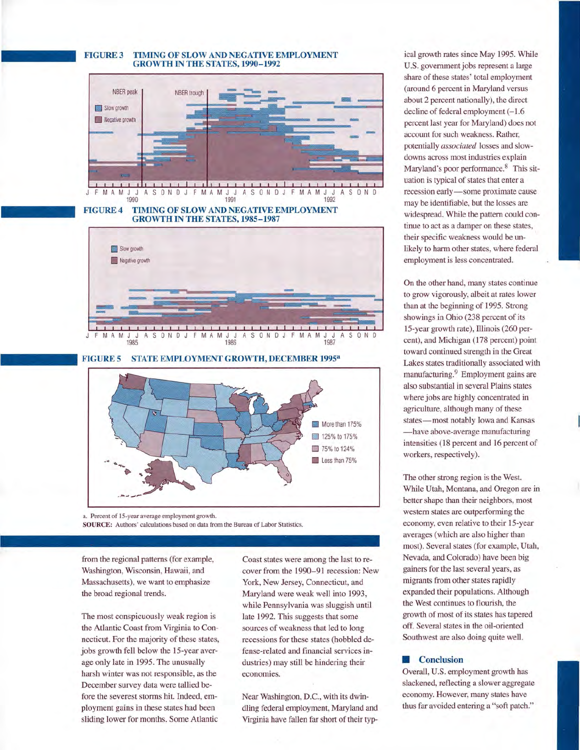### **FIGURE 3 TIMING OF SLOW AND NEGATIVE EMPLOYMENT GROWTH IN THE STATES, 1990-1992**



#### **FIGURE 4 TIMING OF SLOW AND NEGATIVE EMPLOYMENT GROWTH IN THE STATES, 1985-1987**



**FIGURE 5 STATE EMPLOYMENT GROWTH, DECEMBER 19953** 



a. Percent of 15-year average employment growth. SOURCE: Authors' calculations based on data from the Bureau of Labor Statistics.

from the regional patterns (for example, Washington, Wisconsin, Hawaii, and Massachusetts), we want to emphasize the broad regional trends.

The most conspicuously weak region is the Atlantic Coast from Virginia to Connecticut. For the majority of these states, jobs growth fell below the 15-year average only late in 1995. The unusually harsh winter was not responsible, as the December survey data were tallied before the severest storms hit. Indeed, employment gains in these states had been sliding lower for months. Some Atlantic

Coast states were among the last to recover from the 1990-91 recession: New York, New Jersey, Connecticut, and Maryland were weak well into 1993, while Pennsylvania was sluggish until late 1992. This suggests that some sources of weakness that led to long recessions for these states (hobbled defense-related and financial services industries) may still be hindering their economies.

Near Washington, D.C., with its dwindling federal employment, Maryland and Virginia have fallen far short of their typical growth rates since May 1995. While U.S. government jobs represent a large share of these states' total employment (around 6 percent in Maryland versus about 2 percent nationally), the direct decline of federal employment  $(-1.6)$ percent last year for Maryland) does not account for such weakness. Rather, potentially *associated* losses and slowdowns across most industries explain Maryland's poor performance. 8 This situation is typical of states that enter a recession early-some proximate cause may be identifiable, but the losses are widespread. While the pattern could continue to act as a damper on these states, their specific weakness would be unlikely to harm other states, where federal employment is less concentrated.

On the other hand, many states continue to grow vigorously, albeit at rates lower than at the beginning of 1995. Strong showings in Ohio (238 percent of its 15-year growth rate), Illinois (260 percent), and Michigan (178 percent) point toward continued strength in the Great Lakes states traditionally associated with manufacturing.<sup>9</sup> Employment gains are also substantial in several Plains states where jobs are highly concentrated in agriculture, although many of these states-most notably Iowa and Kansas -have above-average manufacturing intensities (18 percent and 16 percent of workers, respectively).

The other strong region is the West. While Utah, Montana, and Oregon are in better shape than their neighbors, most western states are outperforming the economy, even relative to their 15-year averages (which are also higher than most). Several states (for example, Utah, Nevada, and Colorado) have been big gainers for the last several years, as migrants from other states rapidly expanded their populations. Although the West continues to flourish, the growth of most of its states has tapered off. Several states in the oil-oriented Southwest are also doing quite well.

#### **• Conclusion**

Overall, U.S. employment growth has slackened, reflecting a slower aggregate economy. However, many states have thus far avoided entering a "soft patch."